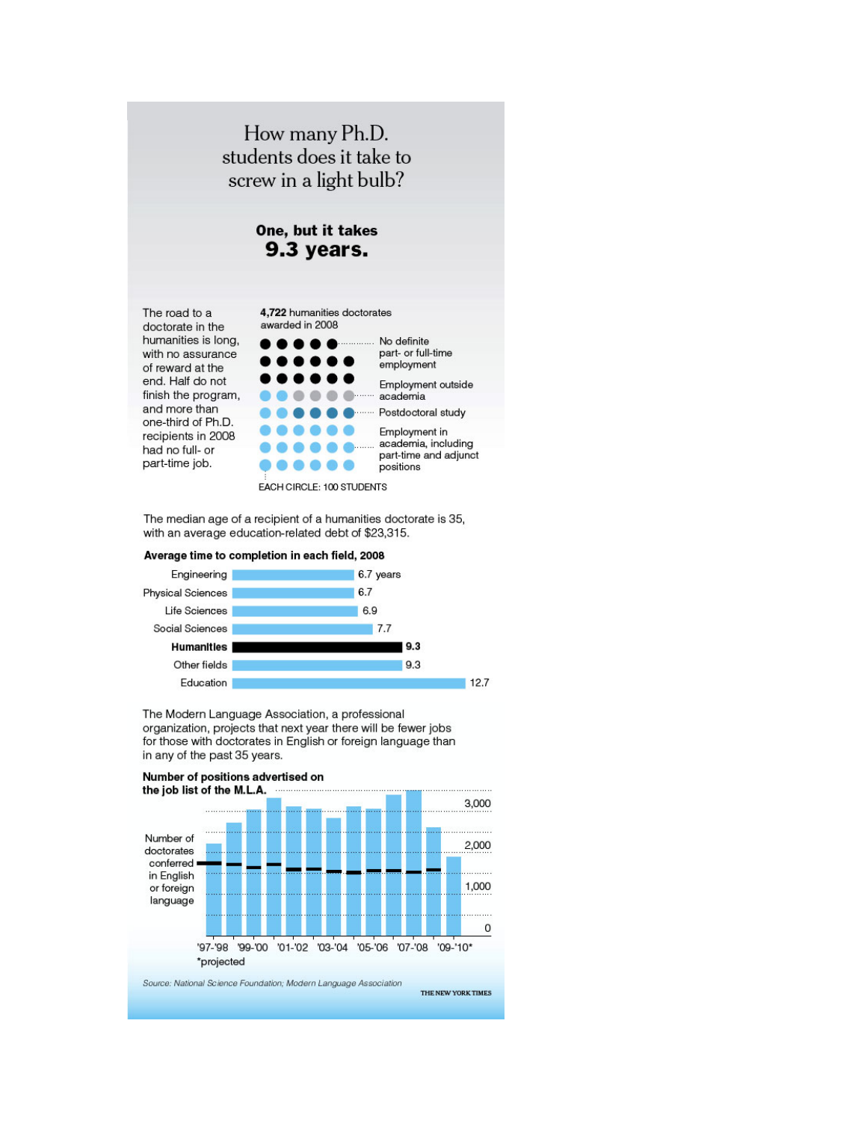

The median age of a recipient of a humanities doctorate is 35, with an average education-related debt of \$23,315.

## Average time to completion in each field, 2008



The Modern Language Association, a professional organization, projects that next year there will be fewer jobs for those with doctorates in English or foreign language than in any of the past 35 years.



Source: National Science Foundation; Modern Language Association

THE NEW YORK TIMES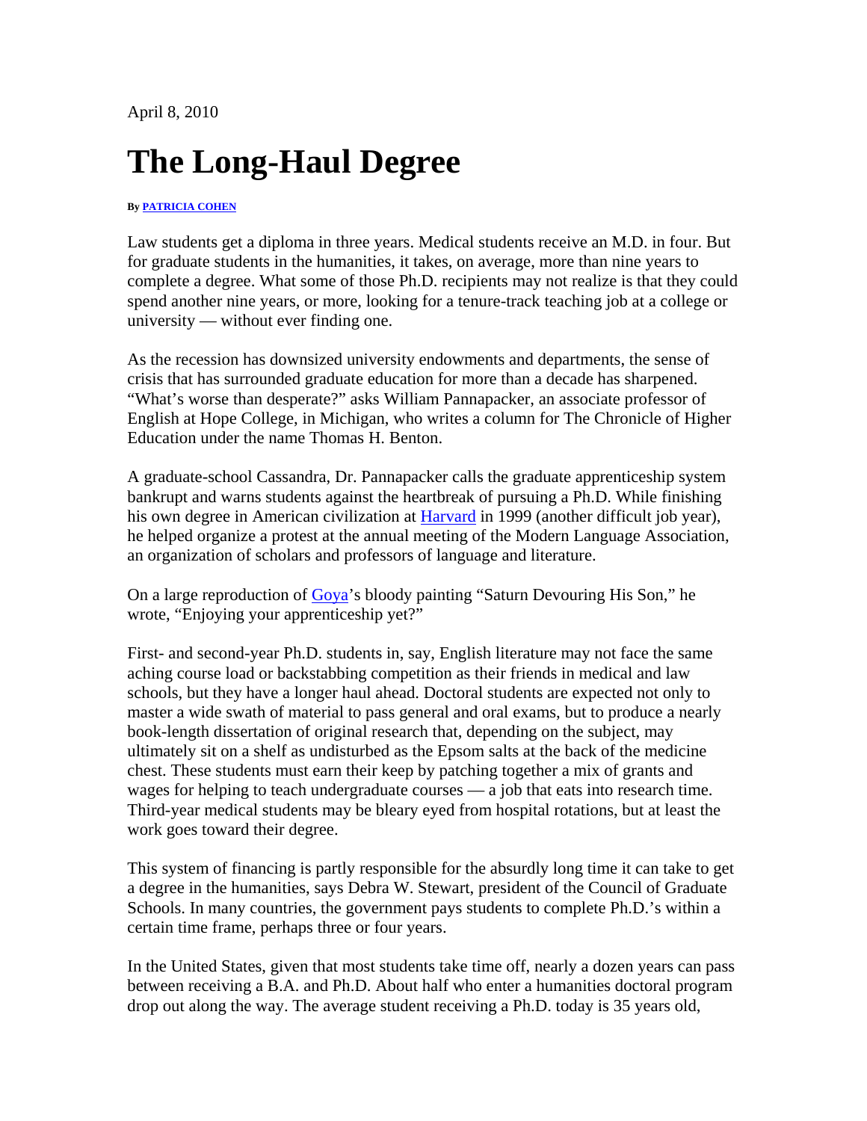April 8, 2010

## **The Long-Haul Degree**

## **By [PATRICIA COHEN](http://topics.nytimes.com/top/reference/timestopics/people/c/patricia_cohen/index.html?inline=nyt-per)**

Law students get a diploma in three years. Medical students receive an M.D. in four. But for graduate students in the humanities, it takes, on average, more than nine years to complete a degree. What some of those Ph.D. recipients may not realize is that they could spend another nine years, or more, looking for a tenure-track teaching job at a college or university — without ever finding one.

As the recession has downsized university endowments and departments, the sense of crisis that has surrounded graduate education for more than a decade has sharpened. "What's worse than desperate?" asks William Pannapacker, an associate professor of English at Hope College, in Michigan, who writes a column for The Chronicle of Higher Education under the name Thomas H. Benton.

A graduate-school Cassandra, Dr. Pannapacker calls the graduate apprenticeship system bankrupt and warns students against the heartbreak of pursuing a Ph.D. While finishing his own degree in American civilization at [Harvard](http://topics.nytimes.com/top/reference/timestopics/organizations/h/harvard_university/index.html?inline=nyt-org) in 1999 (another difficult job year), he helped organize a protest at the annual meeting of the Modern Language Association, an organization of scholars and professors of language and literature.

On a large reproduction of [Goya](http://topics.nytimes.com/top/reference/timestopics/people/g/francisco_de_goya/index.html?inline=nyt-per)'s bloody painting "Saturn Devouring His Son," he wrote, "Enjoying your apprenticeship yet?"

First- and second-year Ph.D. students in, say, English literature may not face the same aching course load or backstabbing competition as their friends in medical and law schools, but they have a longer haul ahead. Doctoral students are expected not only to master a wide swath of material to pass general and oral exams, but to produce a nearly book-length dissertation of original research that, depending on the subject, may ultimately sit on a shelf as undisturbed as the Epsom salts at the back of the medicine chest. These students must earn their keep by patching together a mix of grants and wages for helping to teach undergraduate courses — a job that eats into research time. Third-year medical students may be bleary eyed from hospital rotations, but at least the work goes toward their degree.

This system of financing is partly responsible for the absurdly long time it can take to get a degree in the humanities, says Debra W. Stewart, president of the Council of Graduate Schools. In many countries, the government pays students to complete Ph.D.'s within a certain time frame, perhaps three or four years.

In the United States, given that most students take time off, nearly a dozen years can pass between receiving a B.A. and Ph.D. About half who enter a humanities doctoral program drop out along the way. The average student receiving a Ph.D. today is 35 years old,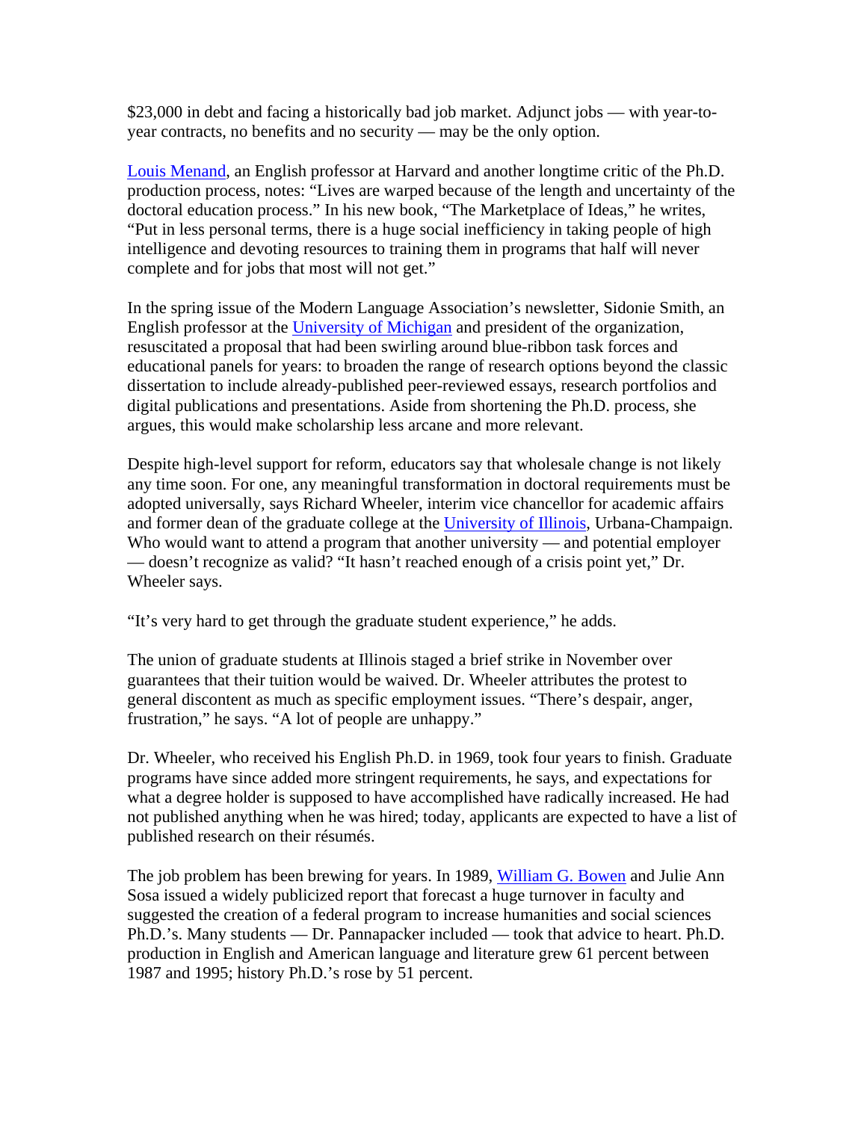\$23,000 in debt and facing a historically bad job market. Adjunct jobs — with year-toyear contracts, no benefits and no security — may be the only option.

[Louis Menand,](http://topics.nytimes.com/top/reference/timestopics/people/m/louis_menand/index.html?inline=nyt-per) an English professor at Harvard and another longtime critic of the Ph.D. production process, notes: "Lives are warped because of the length and uncertainty of the doctoral education process." In his new book, "The Marketplace of Ideas," he writes, "Put in less personal terms, there is a huge social inefficiency in taking people of high intelligence and devoting resources to training them in programs that half will never complete and for jobs that most will not get."

In the spring issue of the Modern Language Association's newsletter, Sidonie Smith, an English professor at the [University of Michigan](http://topics.nytimes.com/top/reference/timestopics/organizations/u/university_of_michigan/index.html?inline=nyt-org) and president of the organization, resuscitated a proposal that had been swirling around blue-ribbon task forces and educational panels for years: to broaden the range of research options beyond the classic dissertation to include already-published peer-reviewed essays, research portfolios and digital publications and presentations. Aside from shortening the Ph.D. process, she argues, this would make scholarship less arcane and more relevant.

Despite high-level support for reform, educators say that wholesale change is not likely any time soon. For one, any meaningful transformation in doctoral requirements must be adopted universally, says Richard Wheeler, interim vice chancellor for academic affairs and former dean of the graduate college at the [University of Illinois](http://topics.nytimes.com/top/reference/timestopics/organizations/u/university_of_illinois/index.html?inline=nyt-org), Urbana-Champaign. Who would want to attend a program that another university — and potential employer — doesn't recognize as valid? "It hasn't reached enough of a crisis point yet," Dr. Wheeler says.

"It's very hard to get through the graduate student experience," he adds.

The union of graduate students at Illinois staged a brief strike in November over guarantees that their tuition would be waived. Dr. Wheeler attributes the protest to general discontent as much as specific employment issues. "There's despair, anger, frustration," he says. "A lot of people are unhappy."

Dr. Wheeler, who received his English Ph.D. in 1969, took four years to finish. Graduate programs have since added more stringent requirements, he says, and expectations for what a degree holder is supposed to have accomplished have radically increased. He had not published anything when he was hired; today, applicants are expected to have a list of published research on their résumés.

The job problem has been brewing for years. In 1989, [William G. Bowen](http://topics.nytimes.com/top/reference/timestopics/people/b/william_g_bowen/index.html?inline=nyt-per) and Julie Ann Sosa issued a widely publicized report that forecast a huge turnover in faculty and suggested the creation of a federal program to increase humanities and social sciences Ph.D.'s. Many students — Dr. Pannapacker included — took that advice to heart. Ph.D. production in English and American language and literature grew 61 percent between 1987 and 1995; history Ph.D.'s rose by 51 percent.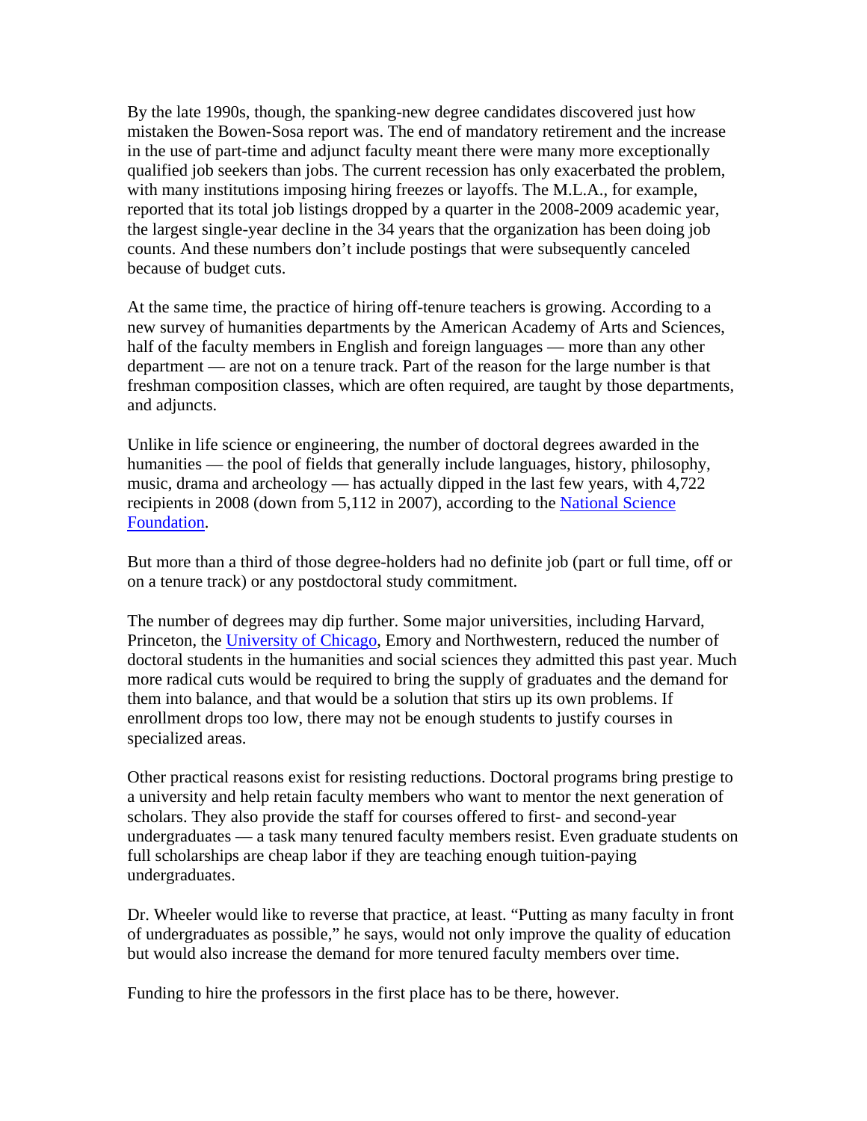By the late 1990s, though, the spanking-new degree candidates discovered just how mistaken the Bowen-Sosa report was. The end of mandatory retirement and the increase in the use of part-time and adjunct faculty meant there were many more exceptionally qualified job seekers than jobs. The current recession has only exacerbated the problem, with many institutions imposing hiring freezes or layoffs. The M.L.A., for example, reported that its total job listings dropped by a quarter in the 2008-2009 academic year, the largest single-year decline in the 34 years that the organization has been doing job counts. And these numbers don't include postings that were subsequently canceled because of budget cuts.

At the same time, the practice of hiring off-tenure teachers is growing. According to a new survey of humanities departments by the American Academy of Arts and Sciences, half of the faculty members in English and foreign languages — more than any other department — are not on a tenure track. Part of the reason for the large number is that freshman composition classes, which are often required, are taught by those departments, and adjuncts.

Unlike in life science or engineering, the number of doctoral degrees awarded in the humanities — the pool of fields that generally include languages, history, philosophy, music, drama and archeology — has actually dipped in the last few years, with 4,722 recipients in 2008 (down from 5,112 in 2007), according to the [National Science](http://topics.nytimes.com/top/reference/timestopics/organizations/n/national_science_foundation/index.html?inline=nyt-org)  [Foundation.](http://topics.nytimes.com/top/reference/timestopics/organizations/n/national_science_foundation/index.html?inline=nyt-org)

But more than a third of those degree-holders had no definite job (part or full time, off or on a tenure track) or any postdoctoral study commitment.

The number of degrees may dip further. Some major universities, including Harvard, Princeton, the [University of Chicago](http://topics.nytimes.com/top/reference/timestopics/organizations/u/university_of_chicago/index.html?inline=nyt-org), Emory and Northwestern, reduced the number of doctoral students in the humanities and social sciences they admitted this past year. Much more radical cuts would be required to bring the supply of graduates and the demand for them into balance, and that would be a solution that stirs up its own problems. If enrollment drops too low, there may not be enough students to justify courses in specialized areas.

Other practical reasons exist for resisting reductions. Doctoral programs bring prestige to a university and help retain faculty members who want to mentor the next generation of scholars. They also provide the staff for courses offered to first- and second-year undergraduates — a task many tenured faculty members resist. Even graduate students on full scholarships are cheap labor if they are teaching enough tuition-paying undergraduates.

Dr. Wheeler would like to reverse that practice, at least. "Putting as many faculty in front of undergraduates as possible," he says, would not only improve the quality of education but would also increase the demand for more tenured faculty members over time.

Funding to hire the professors in the first place has to be there, however.